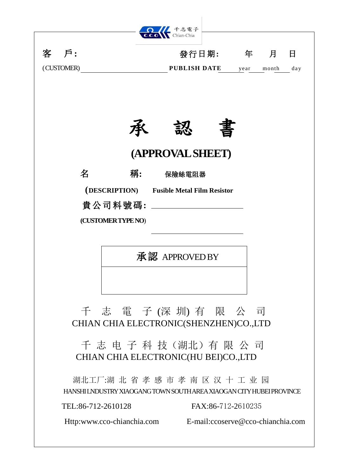

承認 APPROVED BY

千 志 電 子 (深 圳) 有 限 公 司 CHIAN CHIA ELECTRONIC(SHENZHEN)CO.,LTD

千 志 电 子 科 技(湖北)有限 公 司 CHIAN CHIA ELECTRONIC(HU BEI)CO.,LTD

湖北工厂:湖 北 省 孝 感 市 孝 南 区 汉 十 工 业 园 HANSHI LNDUSTRY XIAOGANG TOWN SOUTH AREA XIAOGAN CITY HUBEI PROVINCE

TEL:86-712-2610128 FAX:86-712-2610235

Http:www.cco-chianchia.com E-mail[:ccoserve@cco-chianchia.com](mailto:ccoserve@cco-chianchia.com)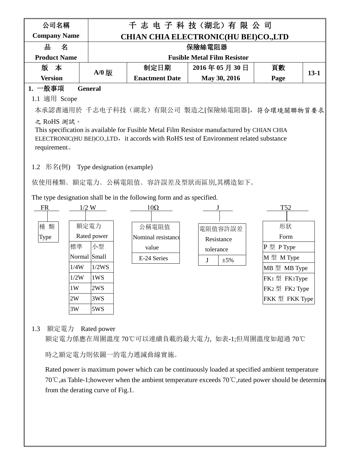| 公司名稱                |                |                                             | 千志 电子科技(湖北)有限公司                    |      |          |  |  |  |
|---------------------|----------------|---------------------------------------------|------------------------------------|------|----------|--|--|--|
| <b>Company Name</b> |                | <b>CHIAN CHIA ELECTRONIC(HU BEI)CO.,LTD</b> |                                    |      |          |  |  |  |
| 쀼<br>名              |                |                                             | 保險絲電阻器                             |      |          |  |  |  |
| <b>Product Name</b> |                |                                             | <b>Fusible Metal Film Resistor</b> |      |          |  |  |  |
| 版 本                 | $A/0$ 版        | 制定日期                                        | 2016年05月30日                        | 頁數   | $13 - 1$ |  |  |  |
| <b>Version</b>      |                | <b>Enactment Date</b>                       | May 30, 2016                       | Page |          |  |  |  |
| 般事項                 | <b>General</b> |                                             |                                    |      |          |  |  |  |

## 1.1 適用 Scope

本承認書適用於 千志电子科技(湖北)有限公司 製造之[保險絲電阻器],符合環境關聯物質要求

## 之 RoHS 測試。

This specification is available for Fusible Metal Film Resistor manufactured by CHIAN CHIA ELECTRONIC(HU BEI)CO.,LTD, it accords with RoHS test of Environment related substance requirement。

1.2 形名(例) Type designation (example)

依使用種類、額定電力、公稱電阻值、容許誤差及型狀而區別,其構造如下。

The type designation shall be in the following form and as specified.



## 1.3 額定電力 Rated power

額定電力係應在周圍溫度 70℃可以連續負載的最大電力, 如表-1;但周圍溫度如超過 70℃

時之額定電力則依圖一的電力遞減曲線實施。

Rated power is maximum power which can be continuously loaded at specified ambient temperature 70℃,as Table-1;however when the ambient temperature exceeds 70℃,rated power should be determine from the derating curve of Fig.1.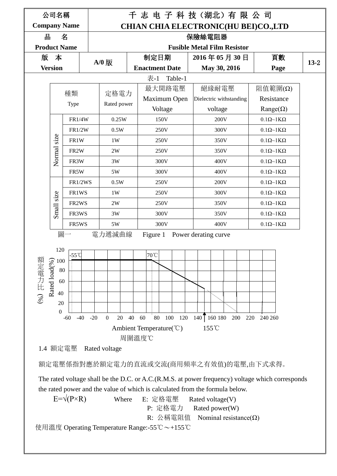

額定電壓係指對應於額定電力的直流或交流(商用頻率之有效值)的電壓,由下式求得。

 The rated voltage shall be the D.C. or A.C.(R.M.S. at power frequency) voltage which corresponds the rated power and the value of which is calculated from the formula below.

E= $\sqrt{P^{\times}R}$  Where E: 定格電壓 Rated voltage(V) P: 定格電力 Rated power(W) R: 公稱電阻值 Nominal resistance(Ω) 使用溫度 Operating Temperature Range:-55℃~+155℃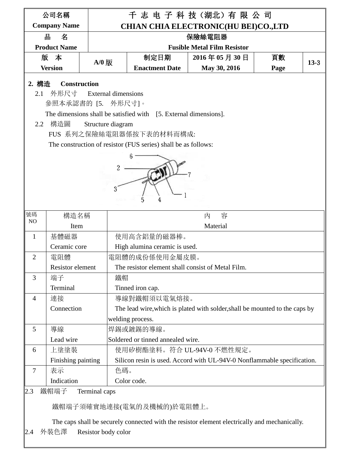|                | 公司名稱                                                                                                                                                                                                                                                                                                  |               |                                    | 千志 电子科技(湖北)有限公司                                                             |      |        |  |  |  |  |
|----------------|-------------------------------------------------------------------------------------------------------------------------------------------------------------------------------------------------------------------------------------------------------------------------------------------------------|---------------|------------------------------------|-----------------------------------------------------------------------------|------|--------|--|--|--|--|
|                | <b>Company Name</b>                                                                                                                                                                                                                                                                                   |               |                                    | <b>CHIAN CHIA ELECTRONIC(HU BEI)CO.,LTD</b>                                 |      |        |  |  |  |  |
|                | 쀼<br>名                                                                                                                                                                                                                                                                                                |               |                                    | 保險絲電阻器                                                                      |      |        |  |  |  |  |
|                | <b>Product Name</b>                                                                                                                                                                                                                                                                                   |               | <b>Fusible Metal Film Resistor</b> |                                                                             |      |        |  |  |  |  |
|                | 版本                                                                                                                                                                                                                                                                                                    | $A/0$ 版       | 制定日期                               | 2016年05月30日                                                                 | 頁數   | $13-3$ |  |  |  |  |
|                | <b>Version</b>                                                                                                                                                                                                                                                                                        |               | <b>Enactment Date</b>              | May 30, 2016                                                                | Page |        |  |  |  |  |
| 2.1<br>2.2     | 2. 構造<br><b>Construction</b><br>外形尺寸<br><b>External dimensions</b><br>參照本承認書的 [5. 外形尺寸]。<br>The dimensions shall be satisfied with [5. External dimensions].<br>構造圖<br>Structure diagram<br>FUS 系列之保險絲電阻器係按下表的材料而構成:<br>The construction of resistor (FUS series) shall be as follows:<br>2<br>4<br>5 |               |                                    |                                                                             |      |        |  |  |  |  |
| 號碼<br>NO       | 構造名稱                                                                                                                                                                                                                                                                                                  |               |                                    | 容<br>內                                                                      |      |        |  |  |  |  |
|                | Item                                                                                                                                                                                                                                                                                                  |               |                                    | Material                                                                    |      |        |  |  |  |  |
| 1              | 基體磁器                                                                                                                                                                                                                                                                                                  |               | 使用高含鋁量的磁器棒。                        |                                                                             |      |        |  |  |  |  |
|                | Ceramic core                                                                                                                                                                                                                                                                                          |               | High alumina ceramic is used.      |                                                                             |      |        |  |  |  |  |
| $\overline{2}$ | 電阻體                                                                                                                                                                                                                                                                                                   |               | 電阻體的成份係使用金屬皮膜。                     |                                                                             |      |        |  |  |  |  |
|                | <b>Resistor</b> element                                                                                                                                                                                                                                                                               |               |                                    | The resistor element shall consist of Metal Film.                           |      |        |  |  |  |  |
| 3              | 端子                                                                                                                                                                                                                                                                                                    | 鐵帽            |                                    |                                                                             |      |        |  |  |  |  |
|                | Terminal                                                                                                                                                                                                                                                                                              |               | Tinned iron cap.                   |                                                                             |      |        |  |  |  |  |
| $\overline{4}$ | 連接                                                                                                                                                                                                                                                                                                    |               | 導線對鐵帽須以電氣熔接。                       |                                                                             |      |        |  |  |  |  |
|                | Connection                                                                                                                                                                                                                                                                                            |               |                                    | The lead wire, which is plated with solder, shall be mounted to the caps by |      |        |  |  |  |  |
|                |                                                                                                                                                                                                                                                                                                       |               | welding process.                   |                                                                             |      |        |  |  |  |  |
| 5              | 導線                                                                                                                                                                                                                                                                                                    |               | 焊錫或鍍錫的導線。                          |                                                                             |      |        |  |  |  |  |
|                | Lead wire                                                                                                                                                                                                                                                                                             |               | Soldered or tinned annealed wire.  |                                                                             |      |        |  |  |  |  |
| 6              | 上塗塗裝                                                                                                                                                                                                                                                                                                  |               |                                    | 使用矽樹酯塗料。符合 UL-94V-0 不燃性規定。                                                  |      |        |  |  |  |  |
|                | Finishing painting                                                                                                                                                                                                                                                                                    |               |                                    | Silicon resin is used. Accord with UL-94V-0 Nonflammable specification.     |      |        |  |  |  |  |
| 7              | 表示                                                                                                                                                                                                                                                                                                    | 色碼。           |                                    |                                                                             |      |        |  |  |  |  |
|                | Indication                                                                                                                                                                                                                                                                                            |               | Color code.                        |                                                                             |      |        |  |  |  |  |
| 2.3            | 鐵帽端子                                                                                                                                                                                                                                                                                                  | Terminal caps |                                    |                                                                             |      |        |  |  |  |  |

鐵帽端子須確實地連接(電氣的及機械的)於電阻體上。

 The caps shall be securely connected with the resistor element electrically and mechanically. 2.4 外裝色澤 Resistor body color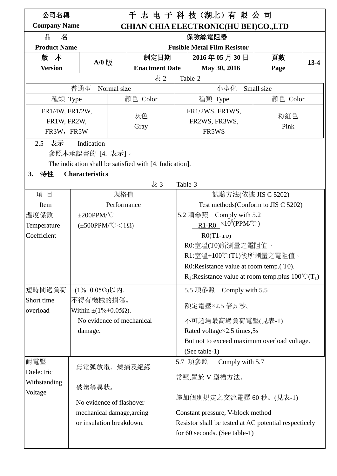| 千 志 电 子 科 技 (湖北) 有 限 公 司<br>公司名稱 |                                   |                                   |                                                         |                                                                    |               |                                                               |  |      |        |  |
|----------------------------------|-----------------------------------|-----------------------------------|---------------------------------------------------------|--------------------------------------------------------------------|---------------|---------------------------------------------------------------|--|------|--------|--|
| <b>Company Name</b>              |                                   |                                   |                                                         | <b>CHIAN CHIA ELECTRONIC(HU BEI)CO.,LTD</b>                        |               |                                                               |  |      |        |  |
| 쀼<br>名                           |                                   |                                   |                                                         | 保險絲電阻器                                                             |               |                                                               |  |      |        |  |
| <b>Product Name</b>              |                                   |                                   |                                                         |                                                                    |               | <b>Fusible Metal Film Resistor</b>                            |  |      |        |  |
| 版 本                              |                                   | $A/0$ 版                           | 制定日期                                                    |                                                                    |               | 2016年05月30日                                                   |  | 頁數   | $13-4$ |  |
| <b>Version</b>                   |                                   |                                   | <b>Enactment Date</b>                                   |                                                                    |               | May 30, 2016                                                  |  | Page |        |  |
|                                  |                                   |                                   | 表-2                                                     | Table-2                                                            |               |                                                               |  |      |        |  |
|                                  | 普通型                               | Normal size                       |                                                         | 小型化<br>Small size                                                  |               |                                                               |  |      |        |  |
| 種類 Type                          |                                   |                                   | 顏色 Color                                                | 種類 Type<br>顏色 Color                                                |               |                                                               |  |      |        |  |
| FR1/4W, FR1/2W,                  |                                   |                                   | 灰色                                                      | FR1/2WS, FR1WS,<br>粉紅色                                             |               |                                                               |  |      |        |  |
|                                  | FR1W, FR2W,<br>Gray               |                                   |                                                         | FR2WS, FR3WS,<br>Pink                                              |               |                                                               |  |      |        |  |
|                                  | FR3W, FR5W                        |                                   |                                                         |                                                                    |               | FR5WS                                                         |  |      |        |  |
| 表示<br>2.5                        | Indication                        |                                   |                                                         |                                                                    |               |                                                               |  |      |        |  |
|                                  | 參照本承認書的 [4. 表示]。                  |                                   |                                                         |                                                                    |               |                                                               |  |      |        |  |
|                                  |                                   |                                   | The indication shall be satisfied with [4. Indication]. |                                                                    |               |                                                               |  |      |        |  |
| 特性<br>3.                         | <b>Characteristics</b>            |                                   |                                                         |                                                                    |               |                                                               |  |      |        |  |
|                                  |                                   |                                   | 表-3                                                     | Table-3                                                            |               |                                                               |  |      |        |  |
| 項目                               |                                   | 規格值                               |                                                         |                                                                    |               | 試驗方法(依據 JIS C 5202)                                           |  |      |        |  |
| Item                             |                                   | Performance                       |                                                         | Test methods (Conform to JIS C 5202)<br>Comply with 5.2<br>5.2 項參照 |               |                                                               |  |      |        |  |
| 溫度係數                             | $±200$ PPM/°C                     |                                   |                                                         |                                                                    |               | $R1-R0 \times 10^6 (PPM/C)$                                   |  |      |        |  |
| Temperature                      |                                   | $(\pm 500$ PPM/°C $\lt 1\Omega$ ) |                                                         |                                                                    |               |                                                               |  |      |        |  |
| Coefficient                      |                                   |                                   |                                                         |                                                                    |               | $R0(T1-1U)$<br>R0:室溫(T0)所測量之電阻值。                              |  |      |        |  |
|                                  |                                   |                                   |                                                         |                                                                    |               | R1:室溫+100℃(T1)後所測量之電阻值。                                       |  |      |        |  |
|                                  |                                   |                                   |                                                         |                                                                    |               | R0:Resistance value at room temp.(T0).                        |  |      |        |  |
|                                  |                                   |                                   |                                                         |                                                                    |               | $R_1$ :Resistance value at room temp.plus $100^{\circ}C(T_1)$ |  |      |        |  |
|                                  |                                   |                                   |                                                         |                                                                    |               |                                                               |  |      |        |  |
| ∥短時間過負荷                          | $±$ (1%+0.05Ω)以内。                 |                                   |                                                         |                                                                    |               | 5.5 項參照 Comply with 5.5                                       |  |      |        |  |
| Short time<br>overload           | 不得有機械的損傷。                         |                                   |                                                         |                                                                    |               | 額定電壓×2.5 倍,5 秒。                                               |  |      |        |  |
|                                  | Within $\pm (1\% + 0.05\Omega)$ . |                                   | No evidence of mechanical                               |                                                                    |               | 不可超過最高過負荷電壓(見表-1)                                             |  |      |        |  |
|                                  | damage.                           |                                   |                                                         |                                                                    |               | Rated voltage×2.5 times,5s                                    |  |      |        |  |
|                                  |                                   |                                   |                                                         |                                                                    |               | But not to exceed maximum overload voltage.                   |  |      |        |  |
|                                  |                                   |                                   |                                                         |                                                                    | (See table-1) |                                                               |  |      |        |  |
| 耐電壓                              |                                   |                                   |                                                         |                                                                    | 5.7 項參照       | Comply with 5.7                                               |  |      |        |  |
| Dielectric                       |                                   |                                   | 無電弧放電、燒損及絕緣                                             |                                                                    |               |                                                               |  |      |        |  |
| Withstanding                     |                                   |                                   |                                                         |                                                                    |               | 常壓,置於 V 型槽方法。                                                 |  |      |        |  |
| Voltage                          | 破壞等異狀。                            |                                   |                                                         |                                                                    |               |                                                               |  |      |        |  |
|                                  |                                   | No evidence of flashover          |                                                         |                                                                    |               | 施加個別規定之交流電壓 60 秒。(見表-1)                                       |  |      |        |  |
|                                  |                                   | mechanical damage, arcing         |                                                         |                                                                    |               | Constant pressure, V-block method                             |  |      |        |  |
|                                  |                                   | or insulation breakdown.          |                                                         |                                                                    |               | Resistor shall be tested at AC potential respecticely         |  |      |        |  |
|                                  |                                   |                                   |                                                         |                                                                    |               | for 60 seconds. (See table-1)                                 |  |      |        |  |
|                                  |                                   |                                   |                                                         |                                                                    |               |                                                               |  |      |        |  |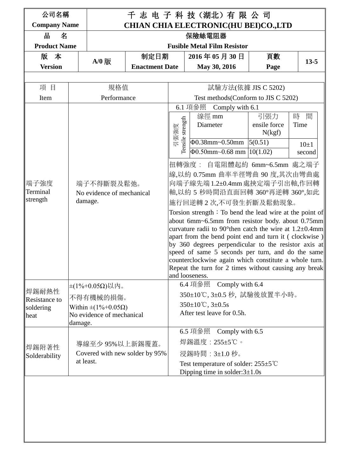| 公司名稱<br><b>Company Name</b> |                           |                                                             | 千 志 电 子 科 技 (湖北) 有 限 公 司                    |                                 |                                       |                                                 |                                                                                                                                 |           |          |
|-----------------------------|---------------------------|-------------------------------------------------------------|---------------------------------------------|---------------------------------|---------------------------------------|-------------------------------------------------|---------------------------------------------------------------------------------------------------------------------------------|-----------|----------|
| 쀼<br>名                      |                           |                                                             | <b>CHIAN CHIA ELECTRONIC(HU BEI)CO.,LTD</b> |                                 | 保險絲電阻器                                |                                                 |                                                                                                                                 |           |          |
| <b>Product Name</b>         |                           |                                                             |                                             |                                 |                                       | <b>Fusible Metal Film Resistor</b>              |                                                                                                                                 |           |          |
| 版 本                         |                           |                                                             | 制定日期                                        |                                 |                                       | 2016年05月30日                                     | 頁數                                                                                                                              |           |          |
| <b>Version</b>              |                           | $A/0$ 版                                                     | <b>Enactment Date</b>                       |                                 |                                       | May 30, 2016                                    | Page                                                                                                                            |           | $13 - 5$ |
|                             |                           |                                                             |                                             |                                 |                                       |                                                 |                                                                                                                                 |           |          |
| 項目                          |                           | 規格值                                                         |                                             |                                 |                                       | 試驗方法(依據 JIS C 5202)                             |                                                                                                                                 |           |          |
| Item                        |                           | Performance                                                 |                                             |                                 |                                       |                                                 | Test methods (Conform to JIS C 5202)                                                                                            |           |          |
|                             |                           |                                                             |                                             |                                 | 6.1 項參照                               | Comply with 6.1                                 |                                                                                                                                 |           |          |
|                             |                           |                                                             |                                             |                                 |                                       | 線徑 mm                                           | 引張力<br>ensile force                                                                                                             | 時<br>Time | 間        |
|                             |                           |                                                             |                                             | strength<br>引張強度                |                                       | Diameter                                        | N(kgf)                                                                                                                          |           |          |
|                             |                           |                                                             |                                             | Tensile                         |                                       | $\Phi$ 0.38mm~0.50mm                            | 5(0.51)                                                                                                                         |           | $10\pm1$ |
|                             |                           |                                                             |                                             |                                 |                                       | $\Phi$ 0.50mm~0.68 mm   10(1.02)                |                                                                                                                                 |           | second   |
|                             |                           |                                                             |                                             |                                 |                                       |                                                 | 扭轉強度: 自電阻體起約 6mm~6.5mm 處之端子                                                                                                     |           |          |
|                             |                           |                                                             |                                             |                                 |                                       |                                                 | 線,以約 0.75mm 曲率半徑彎曲 90 度,其次由彎曲處                                                                                                  |           |          |
| 端子強度                        |                           |                                                             | 端子不得斷裂及鬆弛。                                  |                                 |                                       |                                                 | 向端子線先端1.2±0.4mm處挾定端子引出軸,作回轉                                                                                                     |           |          |
| Terminal<br>strength        | No evidence of mechanical |                                                             |                                             | 軸,以約 5 秒時間沿直面回轉 360°再逆轉 360°,如此 |                                       |                                                 |                                                                                                                                 |           |          |
|                             | damage.                   |                                                             |                                             |                                 |                                       |                                                 | 施行回逆轉2次,不可發生折斷及鬆動現象。                                                                                                            |           |          |
|                             |                           |                                                             |                                             |                                 |                                       |                                                 | Torsion strength : To bend the lead wire at the point of                                                                        |           |          |
|                             |                           |                                                             |                                             |                                 |                                       |                                                 | about 6mm~6.5mm from resistor body. about $0.75$ mm<br>curvature radii to 90 <sup>o</sup> then catch the wire at $1.2\pm0.4$ mm |           |          |
|                             |                           |                                                             |                                             |                                 |                                       |                                                 | apart from the bend point end and turn it (clockwise)                                                                           |           |          |
|                             |                           |                                                             |                                             |                                 |                                       |                                                 | by 360 degrees perpendicular to the resistor axis at                                                                            |           |          |
|                             |                           |                                                             |                                             |                                 |                                       |                                                 | speed of same 5 seconds per turn, and do the same<br>counterclockwise again which constitute a whole turn.                      |           |          |
|                             |                           |                                                             |                                             |                                 |                                       |                                                 | Repeat the turn for 2 times without causing any break                                                                           |           |          |
|                             |                           |                                                             |                                             |                                 | and looseness.                        |                                                 |                                                                                                                                 |           |          |
| 焊錫耐熱性                       |                           | $±(1% +0.05Ω)$ 以内。                                          |                                             |                                 | 6.4 項參照                               | Comply with 6.4                                 |                                                                                                                                 |           |          |
| Resistance to               |                           | 不得有機械的損傷。                                                   |                                             |                                 |                                       |                                                 | 350±10℃, 3±0.5 秒, 試驗後放置半小時。                                                                                                     |           |          |
| soldering                   |                           | Within $\pm(1\% + 0.05\Omega)$<br>No evidence of mechanical |                                             |                                 | $350 \pm 10^{\circ}$ C, $3 \pm 0.5$ s | After test leave for 0.5h.                      |                                                                                                                                 |           |          |
| heat                        | damage.                   |                                                             |                                             |                                 |                                       |                                                 |                                                                                                                                 |           |          |
|                             |                           |                                                             |                                             |                                 | 6.5 項參照                               | Comply with 6.5                                 |                                                                                                                                 |           |          |
|                             |                           | 導線至少 95%以上新錫覆蓋。                                             |                                             |                                 |                                       | 焊錫溫度 : 255±5℃。                                  |                                                                                                                                 |           |          |
| 焊錫附著性<br>Solderability      |                           |                                                             | Covered with new solder by 95%              |                                 |                                       | 浸錫時間: 3±1.0 秒。                                  |                                                                                                                                 |           |          |
|                             |                           | at least.                                                   |                                             |                                 |                                       | Test temperature of solder: $255\pm5^{\circ}$ C |                                                                                                                                 |           |          |
|                             |                           |                                                             |                                             |                                 |                                       | Dipping time in solder: $3\pm1.0s$              |                                                                                                                                 |           |          |
|                             |                           |                                                             |                                             |                                 |                                       |                                                 |                                                                                                                                 |           |          |
|                             |                           |                                                             |                                             |                                 |                                       |                                                 |                                                                                                                                 |           |          |
|                             |                           |                                                             |                                             |                                 |                                       |                                                 |                                                                                                                                 |           |          |
|                             |                           |                                                             |                                             |                                 |                                       |                                                 |                                                                                                                                 |           |          |
|                             |                           |                                                             |                                             |                                 |                                       |                                                 |                                                                                                                                 |           |          |
|                             |                           |                                                             |                                             |                                 |                                       |                                                 |                                                                                                                                 |           |          |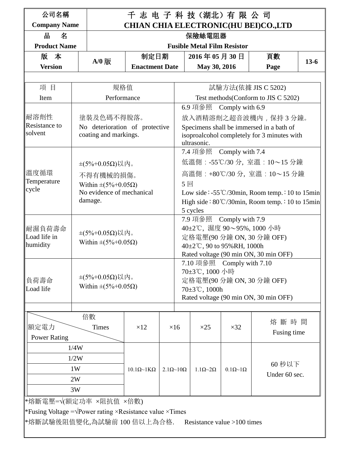| 公司名稱                                                                |      |                                         | 千志 电子科技(湖北)有限公司                                                                                                                                    |                                |                                                                      |                                             |                          |                                                |        |  |
|---------------------------------------------------------------------|------|-----------------------------------------|----------------------------------------------------------------------------------------------------------------------------------------------------|--------------------------------|----------------------------------------------------------------------|---------------------------------------------|--------------------------|------------------------------------------------|--------|--|
| <b>Company Name</b>                                                 |      |                                         |                                                                                                                                                    |                                |                                                                      |                                             |                          | <b>CHIAN CHIA ELECTRONIC(HU BEI)CO.,LTD</b>    |        |  |
| 쀼<br>名                                                              |      |                                         |                                                                                                                                                    |                                |                                                                      | 保險絲電阻器                                      |                          |                                                |        |  |
| <b>Product Name</b>                                                 |      |                                         |                                                                                                                                                    |                                |                                                                      | <b>Fusible Metal Film Resistor</b>          |                          |                                                |        |  |
| 版 本                                                                 |      | $A/0$ 版                                 | 制定日期                                                                                                                                               |                                |                                                                      | 2016年05月30日                                 |                          | 頁數                                             | $13-6$ |  |
| <b>Version</b>                                                      |      |                                         | <b>Enactment Date</b>                                                                                                                              |                                |                                                                      | May 30, 2016                                |                          | Page                                           |        |  |
|                                                                     |      |                                         |                                                                                                                                                    |                                |                                                                      |                                             |                          |                                                |        |  |
| 項目                                                                  |      | 規格值                                     | 試驗方法(依據 JIS C 5202)<br>Test methods (Conform to JIS C 5202)                                                                                        |                                |                                                                      |                                             |                          |                                                |        |  |
| Item                                                                |      | Performance                             |                                                                                                                                                    |                                |                                                                      |                                             |                          |                                                |        |  |
| 耐溶劑性                                                                |      | 塗裝及色碼不得脫落。                              | 6.9 項參照 Comply with 6.9<br>放入酒精溶劑之超音波機內, 保持3分鐘。                                                                                                    |                                |                                                                      |                                             |                          |                                                |        |  |
| Resistance to                                                       |      |                                         |                                                                                                                                                    |                                |                                                                      |                                             |                          |                                                |        |  |
| solvent                                                             |      |                                         | No deterioration of protective<br>Specimens shall be immersed in a bath of<br>coating and markings.<br>isoproalcohol completely for 3 minutes with |                                |                                                                      |                                             |                          |                                                |        |  |
|                                                                     |      |                                         |                                                                                                                                                    |                                |                                                                      | ultrasonic.                                 |                          |                                                |        |  |
|                                                                     |      |                                         | 7.4 項參照 Comply with 7.4                                                                                                                            |                                |                                                                      |                                             |                          |                                                |        |  |
|                                                                     |      | $\pm(5\%+0.05\Omega)\cup \mathcal{R}$ 。 | 低溫側: -55℃/30分, 室溫: 10~15分鐘                                                                                                                         |                                |                                                                      |                                             |                          |                                                |        |  |
| 溫度循環                                                                |      | 不得有機械的損傷。                               |                                                                                                                                                    | 高溫側 : +80℃/30 分, 室溫 : 10~15 分鐘 |                                                                      |                                             |                          |                                                |        |  |
| Temperature                                                         |      | Within $\pm (5\% + 0.05\Omega)$         |                                                                                                                                                    |                                | 5回                                                                   |                                             |                          |                                                |        |  |
| cycle                                                               |      | No evidence of mechanical               |                                                                                                                                                    |                                |                                                                      |                                             |                          | Low side: -55°C/30min, Room temp.: 10 to 15min |        |  |
|                                                                     |      | damage.                                 |                                                                                                                                                    |                                | High side: $80^{\circ}$ C/30min, Room temp.: 10 to 15min<br>5 cycles |                                             |                          |                                                |        |  |
|                                                                     |      |                                         |                                                                                                                                                    |                                |                                                                      | 7.9 項參照                                     | Comply with 7.9          |                                                |        |  |
| 耐濕負荷壽命                                                              |      |                                         |                                                                                                                                                    |                                |                                                                      |                                             |                          | 40±2℃, 濕度 90~95%, 1000 小時                      |        |  |
| Load life in                                                        |      | $±$ (5%+0.05Ω)以内。                       |                                                                                                                                                    |                                |                                                                      |                                             |                          | 定格電壓(90 分鐘 ON, 30 分鐘 OFF)                      |        |  |
| humidity                                                            |      | Within $\pm(5\%+0.05\Omega)$            |                                                                                                                                                    |                                |                                                                      | 40±2℃, 90 to 95%RH, 1000h                   |                          |                                                |        |  |
|                                                                     |      |                                         |                                                                                                                                                    |                                |                                                                      |                                             |                          | Rated voltage (90 min ON, 30 min OFF)          |        |  |
|                                                                     |      |                                         |                                                                                                                                                    |                                |                                                                      | 7.10 項參照 Comply with 7.10<br>70±3℃, 1000 小時 |                          |                                                |        |  |
| 負荷壽命                                                                |      | $\pm$ (5%+0.05Ω)以内。                     |                                                                                                                                                    |                                |                                                                      |                                             |                          | 定格電壓(90 分鐘 ON, 30 分鐘 OFF)                      |        |  |
| Load life                                                           |      | Within $\pm(5\% + 0.05\Omega)$          |                                                                                                                                                    |                                |                                                                      | $70 \pm 3$ °C, 1000h                        |                          |                                                |        |  |
|                                                                     |      |                                         |                                                                                                                                                    |                                |                                                                      |                                             |                          | Rated voltage (90 min ON, 30 min OFF)          |        |  |
|                                                                     |      |                                         |                                                                                                                                                    |                                |                                                                      |                                             |                          |                                                |        |  |
|                                                                     |      | 倍數                                      |                                                                                                                                                    |                                |                                                                      |                                             |                          | 熔斷時間                                           |        |  |
| 額定電力                                                                |      | <b>Times</b>                            | $\times$ 12                                                                                                                                        | $\times 16$                    |                                                                      | $\times 25$                                 | $\times 32$              | Fusing time                                    |        |  |
| <b>Power Rating</b>                                                 |      |                                         |                                                                                                                                                    |                                |                                                                      |                                             |                          |                                                |        |  |
| 1/4W                                                                |      |                                         |                                                                                                                                                    |                                |                                                                      |                                             |                          |                                                |        |  |
|                                                                     | 1/2W |                                         |                                                                                                                                                    |                                |                                                                      |                                             |                          | 60 秒以下                                         |        |  |
|                                                                     | 1W   |                                         | $10.1\Omega \sim 1K\Omega$                                                                                                                         | $2.1\Omega \sim 10\Omega$      |                                                                      | $1.1\Omega \sim 2\Omega$                    | $0.1\Omega \sim 1\Omega$ | Under 60 sec.                                  |        |  |
|                                                                     | 2W   |                                         |                                                                                                                                                    |                                |                                                                      |                                             |                          |                                                |        |  |
|                                                                     | 3W   |                                         |                                                                                                                                                    |                                |                                                                      |                                             |                          |                                                |        |  |
| *熔斷電壓=√(額定功率 ×阻抗值 ×倍數)                                              |      |                                         |                                                                                                                                                    |                                |                                                                      |                                             |                          |                                                |        |  |
| *Fusing Voltage = $\sqrt{P}$ ower rating × Resistance value × Times |      |                                         |                                                                                                                                                    |                                |                                                                      |                                             |                          |                                                |        |  |
| *熔斷試驗後阻值變化,為試驗前 100 倍以上為合格.                                         |      |                                         |                                                                                                                                                    |                                |                                                                      | Resistance value $>100$ times               |                          |                                                |        |  |
|                                                                     |      |                                         |                                                                                                                                                    |                                |                                                                      |                                             |                          |                                                |        |  |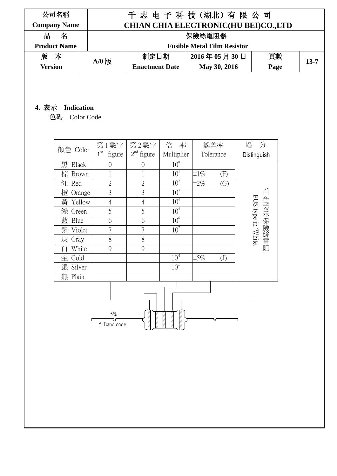| 公司名稱                |         |                                             | 千志 电子科技(湖北)有限公司                    |      |          |  |  |  |
|---------------------|---------|---------------------------------------------|------------------------------------|------|----------|--|--|--|
| <b>Company Name</b> |         | <b>CHIAN CHIA ELECTRONIC(HU BEI)CO.,LTD</b> |                                    |      |          |  |  |  |
| 名<br>쀼              |         |                                             | 保險絲電阻器                             |      |          |  |  |  |
| <b>Product Name</b> |         |                                             | <b>Fusible Metal Film Resistor</b> |      |          |  |  |  |
| 版 本                 | $A/0$ 版 | 制定日期                                        | 2016年05月30日                        | 頁數   | $13 - 7$ |  |  |  |
| <b>Version</b>      |         | <b>Enactment Date</b>                       | May 30, 2016                       | Page |          |  |  |  |

## **4.** 表示 **Indication**

色碼 Color Code

| 顏色 Color          | 第1數字                      | 第2數字           | 倍<br>率          | 誤差率                            | 區<br>分                           |
|-------------------|---------------------------|----------------|-----------------|--------------------------------|----------------------------------|
|                   | 1 <sup>st</sup><br>figure | $2nd$ figure   | Multiplier      | Tolerance                      | Distinguish                      |
| 黑<br><b>Black</b> | $\overline{0}$            | $\overline{0}$ | 10 <sup>0</sup> |                                |                                  |
| 棕 Brown           | $\mathbf 1$               | 1              | 10 <sup>1</sup> | $\pm 1\%$<br>(F)               |                                  |
| 紅 Red             | $\overline{2}$            | $\overline{2}$ | 10 <sup>2</sup> | $\pm 2\%$<br>$\left( G\right)$ |                                  |
| 橙<br>Orange       | 3                         | 3              | 10 <sup>3</sup> |                                |                                  |
| 黃<br>Yellow       | $\overline{4}$            | $\overline{4}$ | 10 <sup>4</sup> |                                | 白色,表示保險絲電阻<br>FUS type in 'White |
| 綠<br>Green        | 5                         | 5              | 10 <sup>5</sup> |                                |                                  |
| 藍<br>Blue         | 6                         | 6              | 10 <sup>6</sup> |                                |                                  |
| 紫<br>Violet       | 7                         | 7              | 10 <sup>7</sup> |                                |                                  |
| 灰<br>Gray         | 8                         | 8              |                 |                                |                                  |
| White             | 9                         | 9              |                 |                                |                                  |
| 金<br>Gold         |                           |                | $10^{-1}$       | ±5%<br>(J)                     |                                  |
| 銀<br>Silver       |                           |                | $10^{-2}$       |                                |                                  |
| Plain<br>無        |                           |                |                 |                                |                                  |
|                   |                           |                |                 |                                |                                  |
|                   | $5\%$<br>5-Band code      |                |                 |                                |                                  |

╢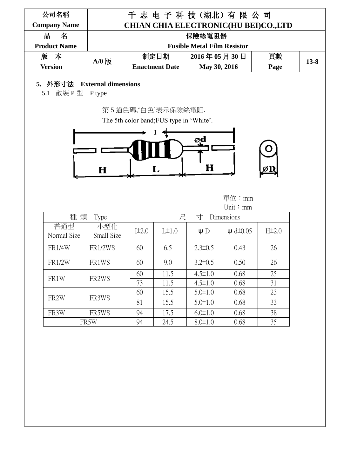| 公司名稱<br><b>Company Name</b> |                   |            |                                                                | 千志 电子科技(湖北)有限公司                    | <b>CHIAN CHIA ELECTRONIC(HU BEI)CO.,LTD</b> |                    |          |
|-----------------------------|-------------------|------------|----------------------------------------------------------------|------------------------------------|---------------------------------------------|--------------------|----------|
| 쀼<br>名                      |                   |            |                                                                | 保險絲電阻器                             |                                             |                    |          |
| <b>Product Name</b>         |                   |            |                                                                | <b>Fusible Metal Film Resistor</b> |                                             |                    |          |
| 版<br>本                      | $A/0$ 版           |            | 制定日期                                                           | 2016年05月30日                        |                                             | 頁數                 | $13 - 8$ |
| <b>Version</b>              |                   |            | <b>Enactment Date</b>                                          | May 30, 2016                       |                                             | Page               |          |
|                             |                   |            | 第5 道色碼,白色'表示保險絲電阻.<br>The 5th color band; FUS type in 'White'. | ød                                 |                                             |                    |          |
|                             | $\bf H$           |            | L                                                              | H                                  |                                             |                    |          |
|                             |                   |            |                                                                |                                    | 單位:mm<br>Unit: mm                           |                    |          |
| 種 類                         | Type              |            | 尺                                                              | 寸                                  | Dimensions                                  |                    |          |
| 普通型<br>Normal Size          | 小型化<br>Small Size | $I\pm 2.0$ | L±1.0                                                          | $\Psi$ D                           | $\psi$ d $\pm$ 0.05                         | H <sup>±</sup> 2.0 |          |
| <b>FR1/4W</b>               | <b>FR1/2WS</b>    | 60         | 6.5                                                            | $2.3\pm 0.5$                       | 0.43                                        | 26                 |          |
| <b>FR1/2W</b>               | FR1WS             | 60         | 9.0                                                            | $3.2 \pm 0.5$                      | 0.50                                        | 26                 |          |
|                             |                   | 60         | 11.5                                                           | $4.5 \pm 1.0$                      | 0.68                                        | 25                 |          |
| FR1W                        | FR2WS             | 73         | 11.5                                                           | $4.5 \pm 1.0$                      | 0.68                                        | 31                 |          |
|                             |                   | 60         | 15.5                                                           | $5.0 \pm 1.0$                      | 0.68                                        | 23                 |          |
| FR <sub>2</sub> W           | FR3WS             | 81         | 15.5                                                           | $5.0 \pm 1.0$                      | 0.68                                        | 33                 |          |
| FR3W                        | FR5WS             | 94         | 17.5                                                           | $6.0 \pm 1.0$                      | 0.68                                        | 38                 |          |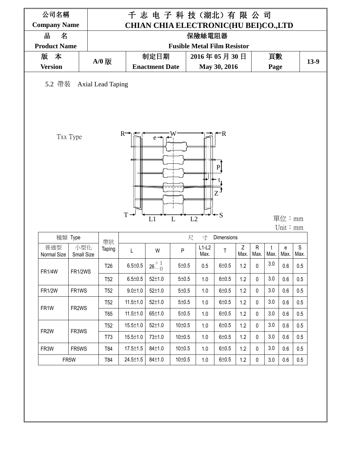| 名<br>쀼                   |                          |                 |                |                               |                                    | 保險絲電阻器          |                                 |           |                      |           |            |                     |
|--------------------------|--------------------------|-----------------|----------------|-------------------------------|------------------------------------|-----------------|---------------------------------|-----------|----------------------|-----------|------------|---------------------|
| <b>Product Name</b>      |                          |                 |                |                               | <b>Fusible Metal Film Resistor</b> |                 |                                 |           |                      |           |            |                     |
| 版<br>本<br><b>Version</b> |                          | $A/0$ 版         |                | 制定日期<br><b>Enactment Date</b> |                                    |                 | 2016年05月30日                     |           |                      | 頁數        |            | $13-9$              |
|                          |                          |                 |                |                               |                                    |                 | May 30, 2016                    |           |                      | Page      |            |                     |
|                          | 5.2 帶裝 Axial Lead Taping |                 |                |                               |                                    |                 |                                 |           |                      |           |            |                     |
|                          | Txx Type                 |                 | R.<br>T        | e<br>L1                       | L2<br>L                            |                 | R<br>${\bf P}$<br>Z<br>$\div$ S |           |                      |           | 單位:mm      |                     |
|                          | 種類 Type                  |                 |                |                               | 尺                                  | 寸               | Dimensions                      |           |                      |           | Unit: $mm$ |                     |
| 普通型<br>Normal Size       | 小型化<br>Small Size        | 帶狀<br>Taping    | L              | W                             | P                                  | $L1-L2$<br>Max. | $\mathsf T$                     | Z<br>Max. | $\mathsf{R}$<br>Max. | t<br>Max. | e<br>Max.  | $\mathsf S$<br>Max. |
| <b>FR1/4W</b>            | FR1/2WS                  | T <sub>26</sub> | $6.5 \pm 0.5$  | $26^{+1}_{-0}$                | 5 ± 0.5                            | 0.5             | $6 + 0.5$                       | 1.2       | 0                    | $3.0\,$   | 0.6        | 0.5                 |
|                          |                          | <b>T52</b>      | $6.5 \pm 0.5$  | $52 \pm 1.0$                  | 5 ± 0.5                            | 1.0             | $6 + 0.5$                       | 1.2       | $\mathbf 0$          | 3.0       | 0.6        | 0.5                 |
|                          | FR1WS                    | T <sub>52</sub> | $9.0 \pm 1.0$  | $52 \pm 1.0$                  | 5 ± 0.5                            | 1.0             | $6 + 0.5$                       | 1.2       | 0                    | 3.0       | 0.6        | 0.5                 |
| <b>FR1/2W</b>            |                          | <b>T52</b>      | $11.5 \pm 1.0$ | $52 \pm 1.0$                  | $5 \pm 0.5$                        | 1.0             | $6 + 0.5$                       | 1.2       | $\mathbf 0$          | 3.0       | 0.6        | 0.5                 |
|                          |                          | T65             | $11.5 \pm 1.0$ | 65±1.0                        | $5 \pm 0.5$                        | 1.0             | $6 + 0.5$                       | 1.2       | $\mathbf 0$          | 3.0       | 0.6        | 0.5                 |
| FR1W                     | FR2WS                    |                 |                | $52 \pm 1.0$                  | $10 \pm 0.5$                       | 1.0             | 6±0.5                           | 1.2       | $\mathbf 0$          | 3.0       | 0.6        | 0.5                 |
|                          |                          | <b>T52</b>      | $15.5 \pm 1.0$ |                               |                                    |                 |                                 | 1.2       | 0                    | 3.0       | 0.6        | 0.5                 |
| FR <sub>2</sub> W        | FR3WS                    | T73             | $15.5 \pm 1.0$ | 73±1.0                        | 10 <sup>±</sup> 0.5                | 1.0             | $6 + 0.5$                       |           |                      |           |            |                     |
| FR3W                     | FR5WS                    | T84             | $17.5 \pm 1.5$ | 84±1.0                        | 10±0.5                             | 1.0             | $6 + 0.5$                       | 1.2       | $\mathbf 0$          | 3.0       | 0.6        | 0.5                 |
|                          | FR5W                     | T84             | $24.5 \pm 1.5$ | 84±1.0                        | 10±0.5                             | 1.0             | $6 + 0.5$                       | 1.2       | $\mathbf 0$          | 3.0       | 0.6        | 0.5                 |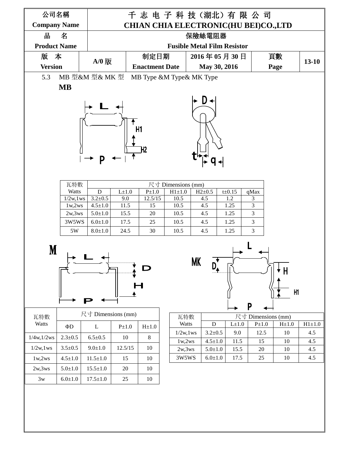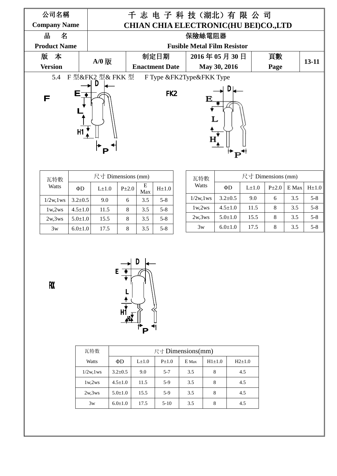| 公司名稱                |                  |                                      | 千志 电子科技(湖北)有限公司            |      |           |  |  |  |  |
|---------------------|------------------|--------------------------------------|----------------------------|------|-----------|--|--|--|--|
| <b>Company Name</b> |                  | CHIAN CHIA ELECTRONIC(HU BEI)CO.,LTD |                            |      |           |  |  |  |  |
| 出<br>名              |                  | 保險絲電阻器                               |                            |      |           |  |  |  |  |
| <b>Product Name</b> |                  | <b>Fusible Metal Film Resistor</b>   |                            |      |           |  |  |  |  |
| 版 本                 | $A/0$ 版          | 制定日期                                 | 2016年05月30日                | 頁數   | $13 - 11$ |  |  |  |  |
| <b>Version</b>      |                  | <b>Enactment Date</b>                | May 30, 2016               | Page |           |  |  |  |  |
| 5.4                 | F 型&FK2 型& FKK 型 |                                      | F Type & FK2Type& FKK Type |      |           |  |  |  |  |
| F                   | H1               | FK <sub>2</sub>                      |                            |      |           |  |  |  |  |

| 瓦特數           |               | 尺寸 Dimensions (mm) |            |          |            |
|---------------|---------------|--------------------|------------|----------|------------|
| Watts         | ΦD            | $L\pm 1.0$         | $P\pm 2.0$ | Е<br>Max | $H\pm 1.0$ |
| $1/2w$ , 1 ws | $3.2 \pm 0.5$ | 9.0                | 6          | 3.5      | $5 - 8$    |
| 1w,2ws        | $4.5 \pm 1.0$ | 11.5               | 8          | 3.5      | $5 - 8$    |
| 2w.3ws        | $5.0 \pm 1.0$ | 15.5               | 8          | 3.5      | $5 - 8$    |
| 3w            | $6.0 \pm 1.0$ | 17.5               | 8          | 3.5      | $5 - 8$    |

| 瓦特數           |               | 尺寸 Dimensions (mm) |            |       |            |  |  |  |  |
|---------------|---------------|--------------------|------------|-------|------------|--|--|--|--|
| Watts         | ΦD            | $L\pm 1.0$         | $P\pm 2.0$ | E Max | $H\pm 1.0$ |  |  |  |  |
| $1/2w$ , 1 ws | $3.2 \pm 0.5$ | 9.0                | 6          | 3.5   | $5 - 8$    |  |  |  |  |
| 1w,2ws        | $4.5 \pm 1.0$ | 11.5               | 8          | 3.5   | $5 - 8$    |  |  |  |  |
| 2w.3ws        | $5.0 \pm 1.0$ | 15.5               | 8          | 3.5   | $5 - 8$    |  |  |  |  |
| 3w            | $6.0 \pm 1.0$ | 17.5               | 8          | 3.5   | $5 - 8$    |  |  |  |  |

 $\mathbf{f} \mathbf{X}$ 



| 瓦特数          |               |            | 尺寸 Dimensions(mm) |       |          |            |
|--------------|---------------|------------|-------------------|-------|----------|------------|
| Watts        | ΦD            | $L\pm 1.0$ | $P_{\pm}1.0$      | E Max | $H1+1.0$ | $H2\pm1.0$ |
| $1/2w$ , lws | $3.2 \pm 0.5$ | 9.0        | $5 - 7$           | 3.5   | 8        | 4.5        |
| 1w,2ws       | $4.5 \pm 1.0$ | 11.5       | $5-9$             | 3.5   | 8        | 4.5        |
| 2w,3ws       | $5.0 \pm 1.0$ | 15.5       | $5-9$             | 3.5   | 8        | 4.5        |
| 3w           | $6.0 \pm 1.0$ | 17.5       | $5 - 10$          | 3.5   | 8        | 4.5        |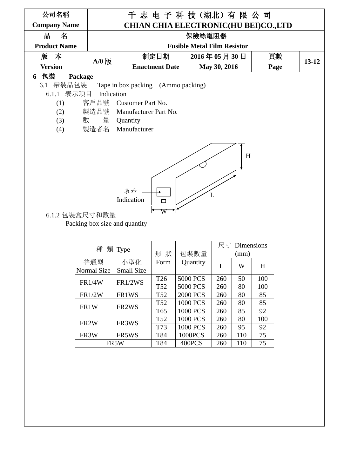